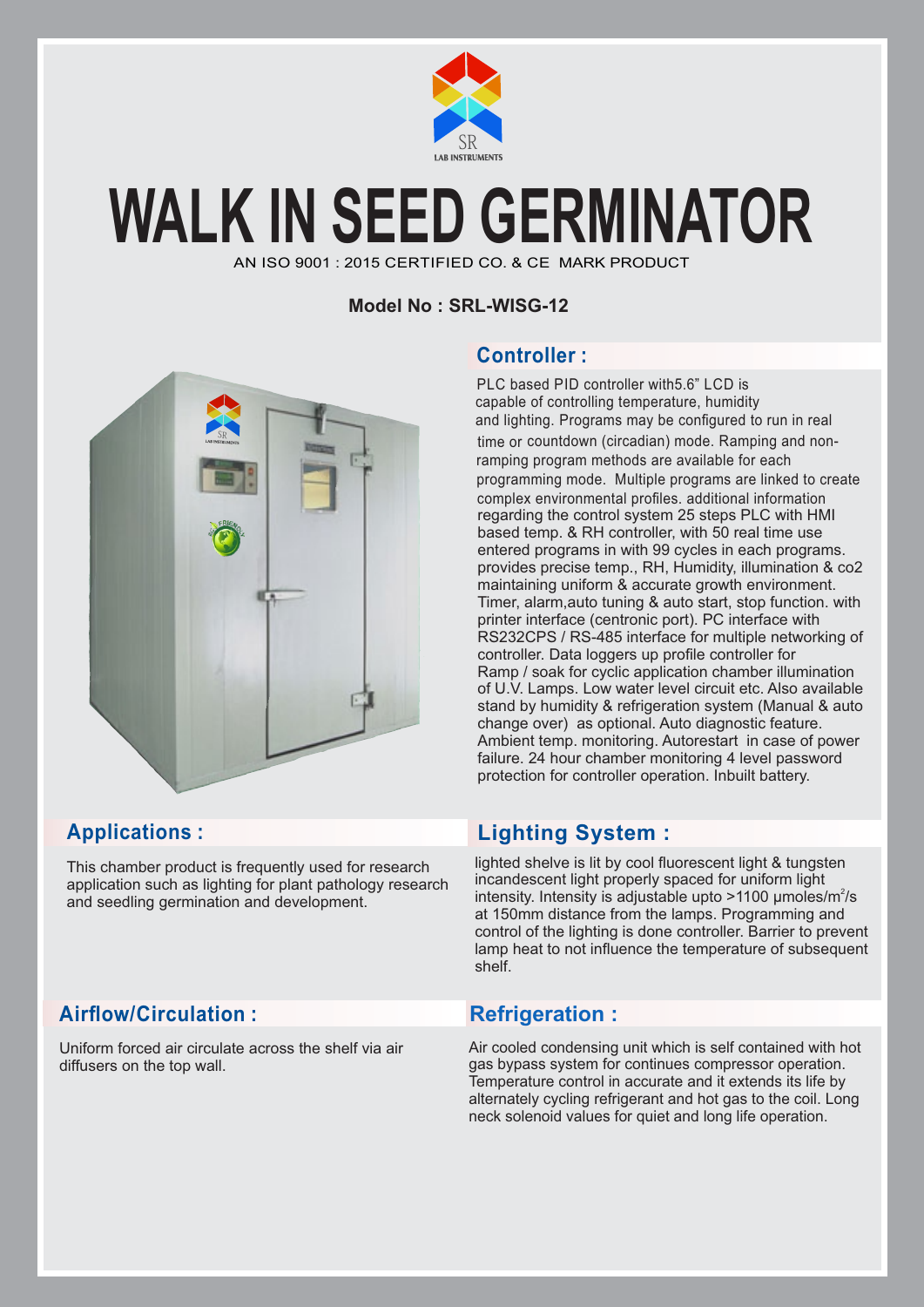

## **WALK IN SEED GERMINATOR**

AN ISO 9001 : 2015 CERTIFIED CO. & CE MARK PRODUCT

#### **Model No : SRL-WISG-12**



This chamber product is frequently used for research application such as lighting for plant pathology research and seedling germination and development.

## Airflow/Circulation : **Refrigeration :**

Uniform forced air circulate across the shelf via air diffusers on the top wall.

## **Controller :**

PLC based PID controller with5.6" LCD is capable of controlling temperature, humidity and lighting. Programs may be configured to run in real time or countdown (circadian) mode. Ramping and nonramping program methods are available for each programming mode. Multiple programs are linked to create complex environmental profiles. additional information regarding the control system 25 steps PLC with HMI based temp. & RH controller, with 50 real time use entered programs in with 99 cycles in each programs. provides precise temp., RH, Humidity, illumination & co2 maintaining uniform & accurate growth environment. Timer, alarm,auto tuning & auto start, stop function. with printer interface (centronic port). PC interface with RS232CPS / RS-485 interface for multiple networking of controller. Data loggers up profile controller for Ramp / soak for cyclic application chamber illumination of U.V. Lamps. Low water level circuit etc. Also available stand by humidity & refrigeration system (Manual & auto change over) as optional. Auto diagnostic feature. Ambient temp. monitoring. Autorestart in case of power failure. 24 hour chamber monitoring 4 level password protection for controller operation. Inbuilt battery.

## **Applications : Lighting System :**

lighted shelve is lit by cool fluorescent light & tungsten incandescent light properly spaced for uniform light intensity. Intensity is adjustable upto  $>1100$  µmoles/m<sup>2</sup>/s at 150mm distance from the lamps. Programming and control of the lighting is done controller. Barrier to prevent lamp heat to not influence the temperature of subsequent shelf.

Air cooled condensing unit which is self contained with hot gas bypass system for continues compressor operation. Temperature control in accurate and it extends its life by alternately cycling refrigerant and hot gas to the coil. Long neck solenoid values for quiet and long life operation.